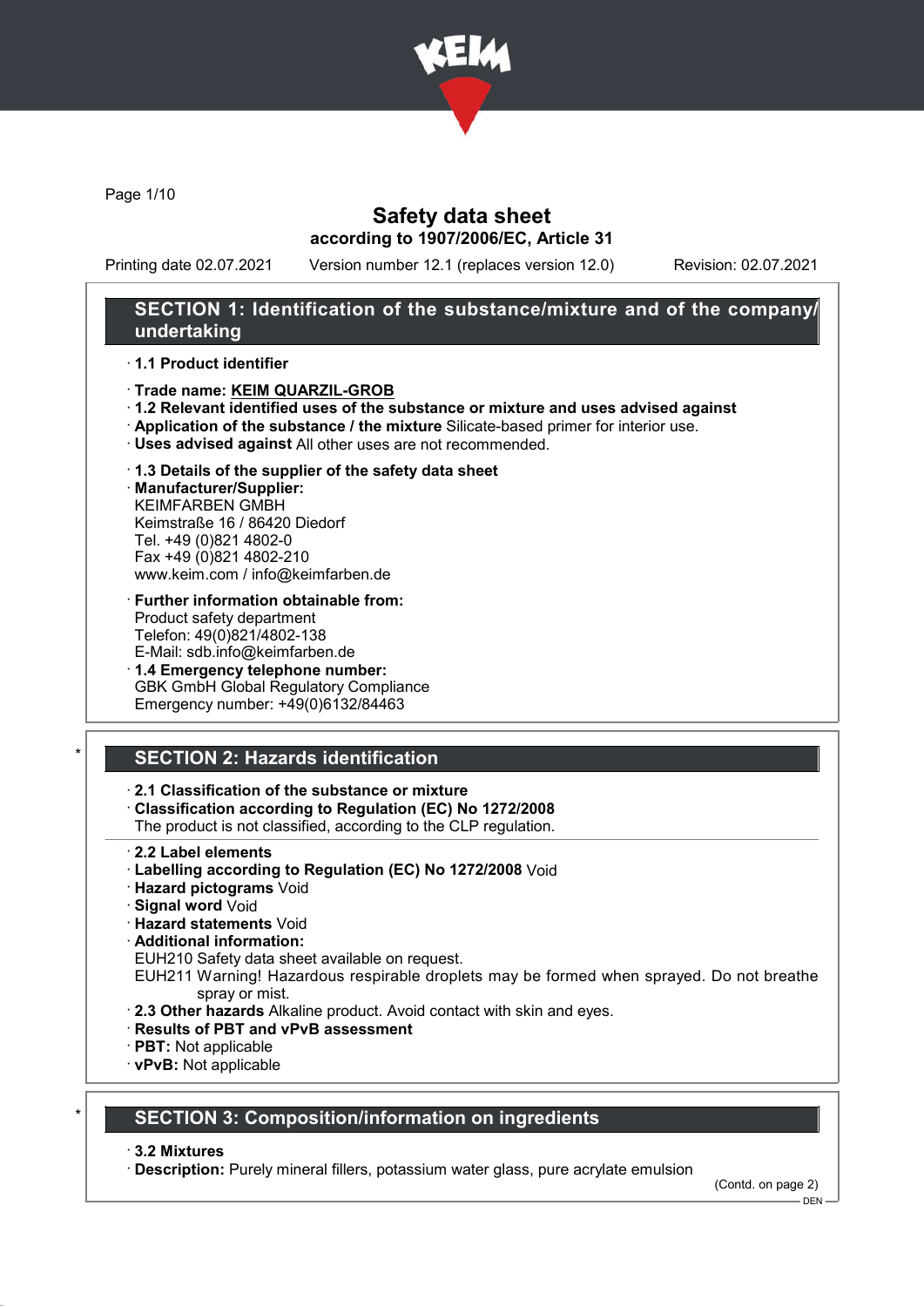

Page 1/10

# Safety data sheet according to 1907/2006/EC, Article 31

Printing date 02.07.2021 Version number 12.1 (replaces version 12.0) Revision: 02.07.2021

### SECTION 1: Identification of the substance/mixture and of the company/ undertaking

#### · 1.1 Product identifier

- · Trade name: KEIM QUARZIL-GROB
- · 1.2 Relevant identified uses of the substance or mixture and uses advised against
- · Application of the substance / the mixture Silicate-based primer for interior use.
- · Uses advised against All other uses are not recommended.
- · 1.3 Details of the supplier of the safety data sheet
- · Manufacturer/Supplier: KEIMFARBEN GMBH Keimstraße 16 / 86420 Diedorf Tel. +49 (0)821 4802-0 Fax +49 (0)821 4802-210 www.keim.com / info@keimfarben.de
- · Further information obtainable from: Product safety department Telefon: 49(0)821/4802-138 E-Mail: sdb.info@keimfarben.de
- · 1.4 Emergency telephone number: GBK GmbH Global Regulatory Compliance Emergency number: +49(0)6132/84463

# **SECTION 2: Hazards identification**

#### · 2.1 Classification of the substance or mixture

· Classification according to Regulation (EC) No 1272/2008

The product is not classified, according to the CLP regulation.

- · 2.2 Label elements
- · Labelling according to Regulation (EC) No 1272/2008 Void
- · Hazard pictograms Void
- · Signal word Void
- · Hazard statements Void
- · Additional information:
- EUH210 Safety data sheet available on request.
- EUH211 Warning! Hazardous respirable droplets may be formed when sprayed. Do not breathe spray or mist.
- · 2.3 Other hazards Alkaline product. Avoid contact with skin and eyes.
- · Results of PBT and vPvB assessment
- · PBT: Not applicable
- · vPvB: Not applicable

# **SECTION 3: Composition/information on ingredients**

#### · 3.2 Mixtures

· Description: Purely mineral fillers, potassium water glass, pure acrylate emulsion

(Contd. on page 2)

 $-$  DEN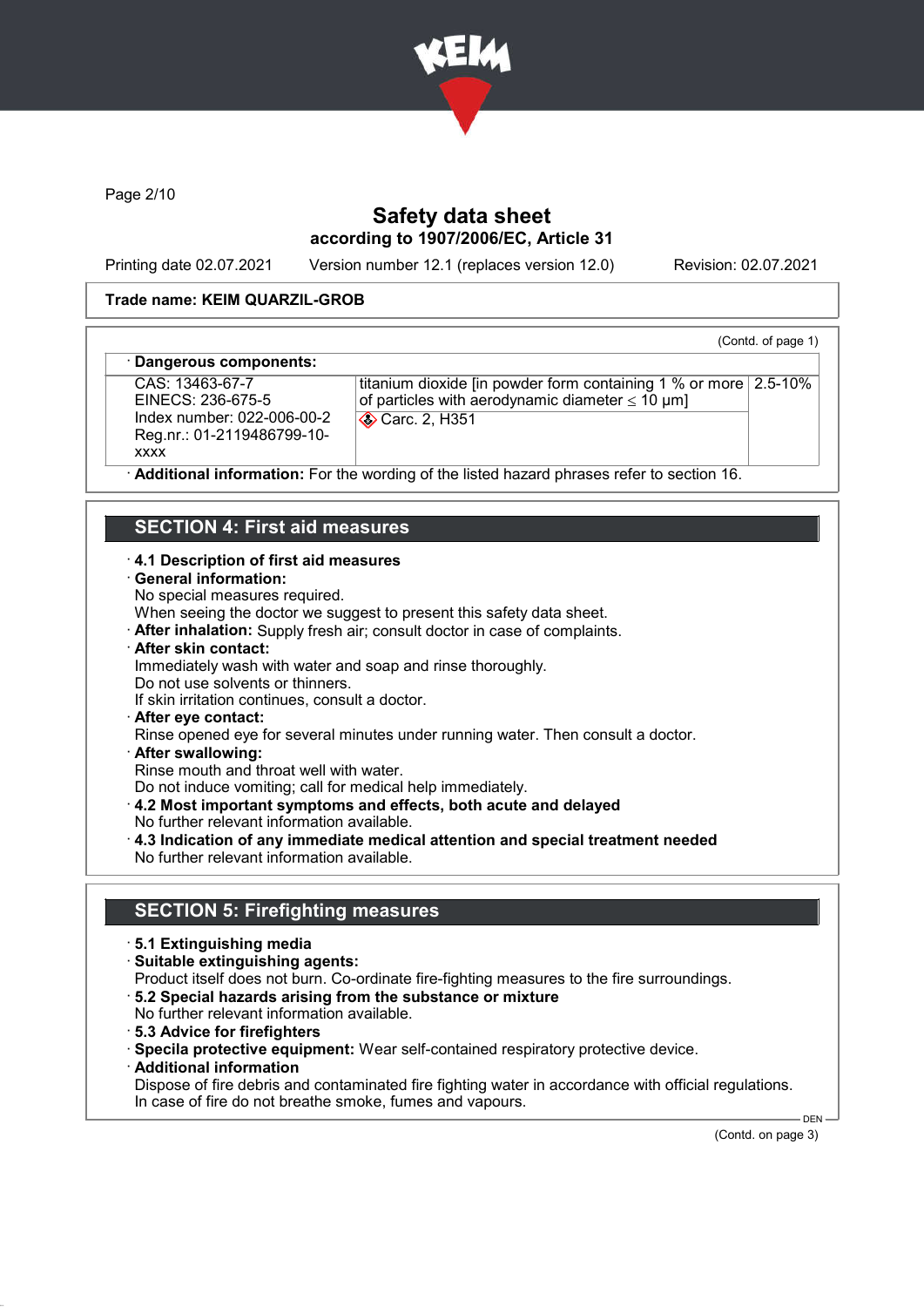

Page 2/10

# Safety data sheet according to 1907/2006/EC, Article 31

Printing date 02.07.2021 Version number 12.1 (replaces version 12.0) Revision: 02.07.2021

(Contd. of page 1)

#### Trade name: KEIM QUARZIL-GROB

#### Dangerous components:

CAS: 13463-67-7 EINECS: 236-675-5 Index number: 022-006-00-2 Reg.nr.: 01-2119486799-10 xxxx

titanium dioxide [in powder form containing 1 % or more 2.5-10% of particles with aerodynamic diameter  $\leq 10 \text{ }\mu\text{m}$ ] **Carc. 2, H351** 

Additional information: For the wording of the listed hazard phrases refer to section 16.

### SECTION 4: First aid measures

#### · 4.1 Description of first aid measures

- · General information:
- No special measures required.

When seeing the doctor we suggest to present this safety data sheet.

- · After inhalation: Supply fresh air; consult doctor in case of complaints.
- · After skin contact:
- Immediately wash with water and soap and rinse thoroughly.
- Do not use solvents or thinners.
- If skin irritation continues, consult a doctor.
- · After eye contact:
- Rinse opened eye for several minutes under running water. Then consult a doctor.
- · After swallowing:

Rinse mouth and throat well with water.

Do not induce vomiting; call for medical help immediately.

- · 4.2 Most important symptoms and effects, both acute and delayed
- No further relevant information available.
- · 4.3 Indication of any immediate medical attention and special treatment needed No further relevant information available.

#### SECTION 5: Firefighting measures

- · 5.1 Extinguishing media
- · Suitable extinguishing agents:
- Product itself does not burn. Co-ordinate fire-fighting measures to the fire surroundings.
- · 5.2 Special hazards arising from the substance or mixture
- No further relevant information available.
- · 5.3 Advice for firefighters
- · Specila protective equipment: Wear self-contained respiratory protective device.
- · Additional information
- Dispose of fire debris and contaminated fire fighting water in accordance with official regulations. In case of fire do not breathe smoke, fumes and vapours.

(Contd. on page 3)

 $-$  DEN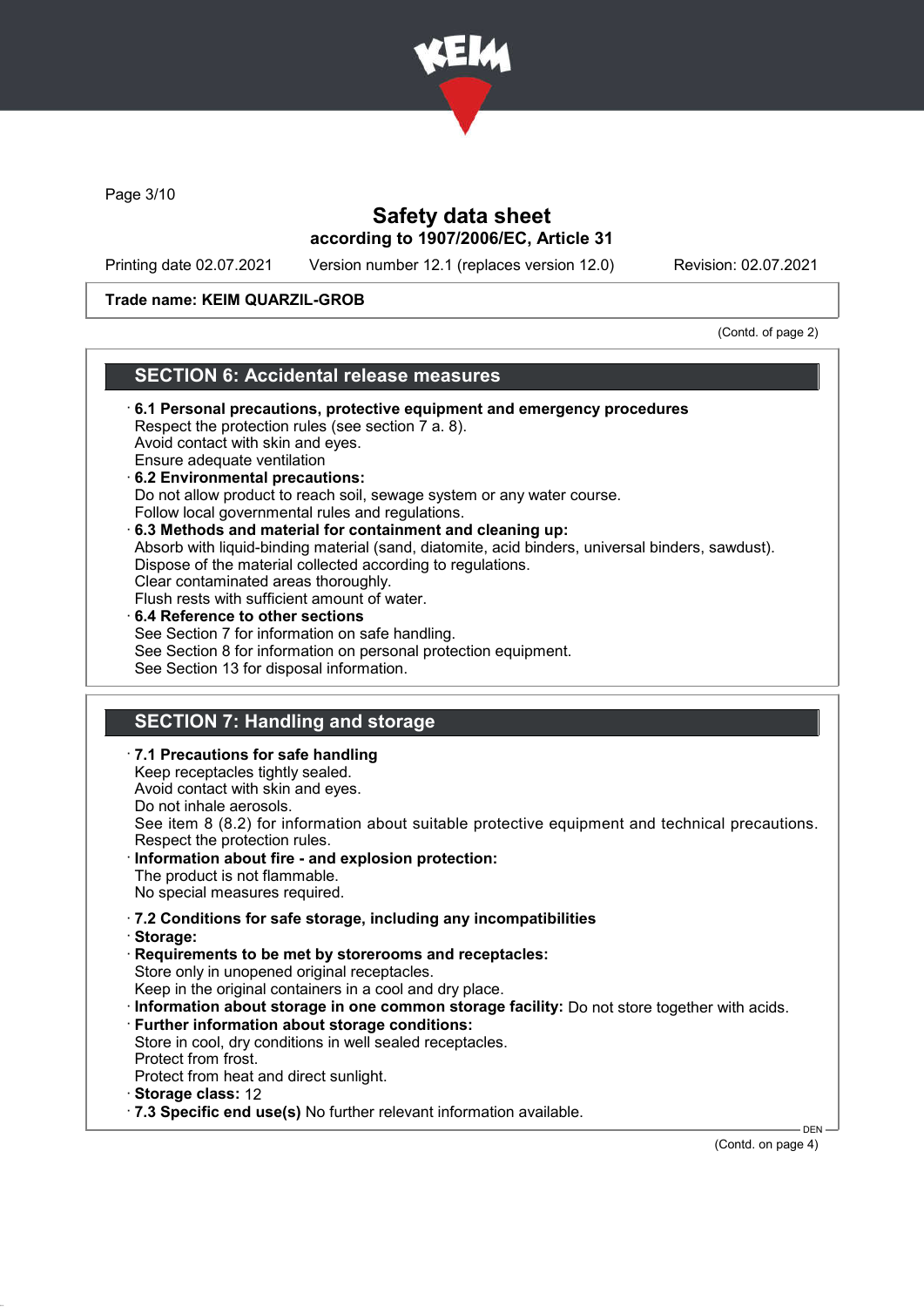

Page 3/10

# Safety data sheet according to 1907/2006/EC, Article 31

Printing date 02.07.2021 Version number 12.1 (replaces version 12.0) Revision: 02.07.2021

#### Trade name: KEIM QUARZIL-GROB

(Contd. of page 2)

#### SECTION 6: Accidental release measures

- · 6.1 Personal precautions, protective equipment and emergency procedures Respect the protection rules (see section 7 a. 8). Avoid contact with skin and eyes. Ensure adequate ventilation · 6.2 Environmental precautions: Do not allow product to reach soil, sewage system or any water course. Follow local governmental rules and regulations. · 6.3 Methods and material for containment and cleaning up: Absorb with liquid-binding material (sand, diatomite, acid binders, universal binders, sawdust). Dispose of the material collected according to regulations. Clear contaminated areas thoroughly. Flush rests with sufficient amount of water. 6.4 Reference to other sections See Section 7 for information on safe handling. See Section 8 for information on personal protection equipment. See Section 13 for disposal information. SECTION 7: Handling and storage · 7.1 Precautions for safe handling
- Avoid contact with skin and eyes. Do not inhale aerosols. See item 8 (8.2) for information about suitable protective equipment and technical precautions. Respect the protection rules.
- Information about fire and explosion protection: The product is not flammable.

No special measures required.

Keep receptacles tightly sealed.

- · 7.2 Conditions for safe storage, including any incompatibilities
- · Storage:
- · Requirements to be met by storerooms and receptacles: Store only in unopened original receptacles. Keep in the original containers in a cool and dry place.
- · Information about storage in one common storage facility: Do not store together with acids.
- · Further information about storage conditions:
- Store in cool, dry conditions in well sealed receptacles. Protect from frost.
- Protect from heat and direct sunlight.
- · Storage class: 12
- · 7.3 Specific end use(s) No further relevant information available.

(Contd. on page 4)

DEN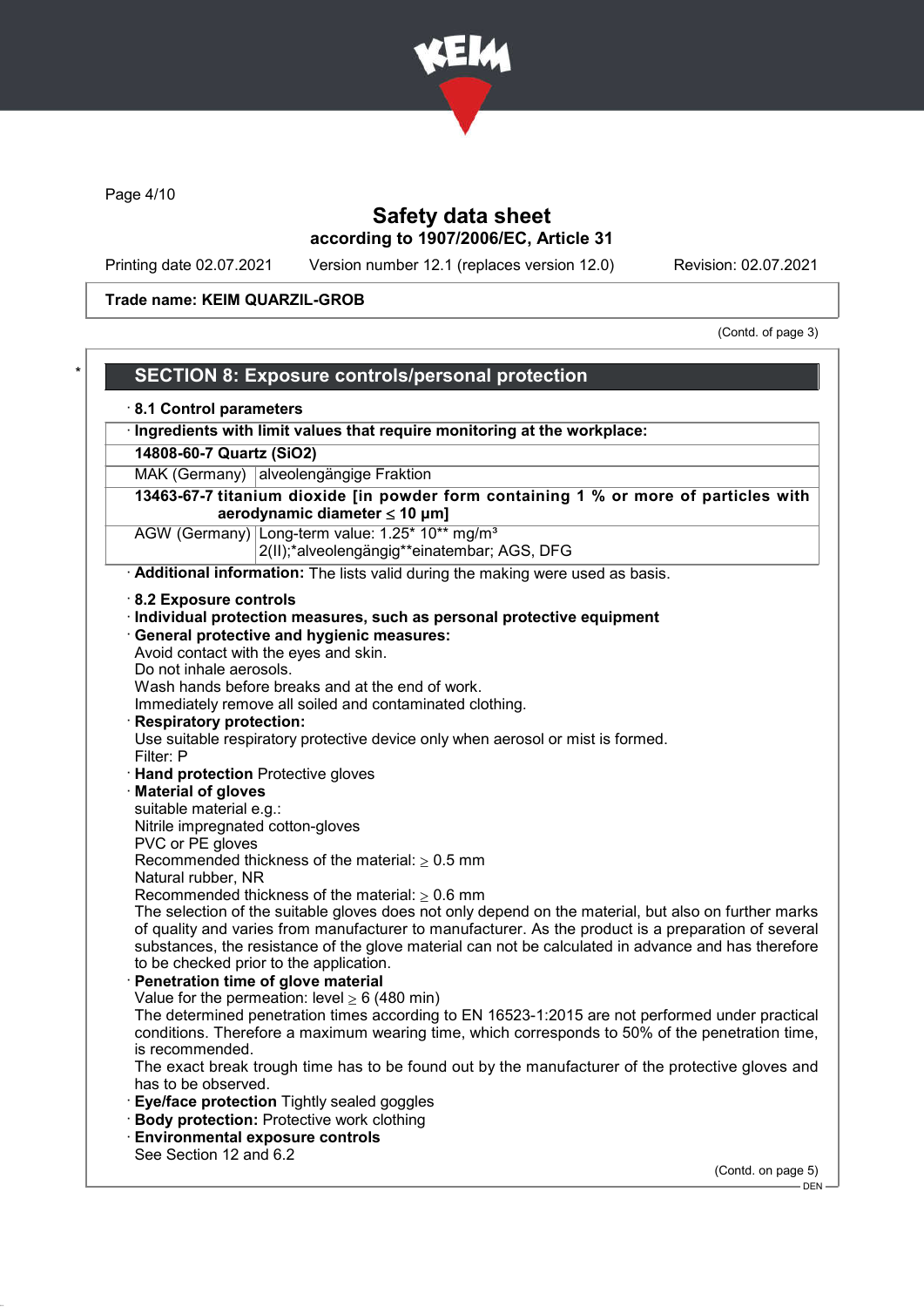

Page 4/10

# Safety data sheet according to 1907/2006/EC, Article 31

Printing date 02.07.2021 Version number 12.1 (replaces version 12.0) Revision: 02.07.2021

Trade name: KEIM QUARZIL-GROB

(Contd. of page 3)

| 8.1 Control parameters              |                                                                                                              |
|-------------------------------------|--------------------------------------------------------------------------------------------------------------|
|                                     | · Ingredients with limit values that require monitoring at the workplace:                                    |
| 14808-60-7 Quartz (SiO2)            |                                                                                                              |
|                                     | MAK (Germany) alveolengängige Fraktion                                                                       |
|                                     | 13463-67-7 titanium dioxide [in powder form containing 1 % or more of particles with                         |
|                                     | aerodynamic diameter $\leq 10$ µm]                                                                           |
|                                     | AGW (Germany) Long-term value: 1.25* 10** mg/m <sup>3</sup>                                                  |
|                                     | 2(II);*alveolengängig**einatembar; AGS, DFG                                                                  |
|                                     | Additional information: The lists valid during the making were used as basis.                                |
| 8.2 Exposure controls               |                                                                                                              |
|                                     | · Individual protection measures, such as personal protective equipment                                      |
|                                     | · General protective and hygienic measures:                                                                  |
|                                     | Avoid contact with the eyes and skin.                                                                        |
| Do not inhale aerosols.             |                                                                                                              |
|                                     | Wash hands before breaks and at the end of work.<br>Immediately remove all soiled and contaminated clothing. |
| <b>Respiratory protection:</b>      |                                                                                                              |
|                                     | Use suitable respiratory protective device only when aerosol or mist is formed.                              |
| Filter: P                           |                                                                                                              |
| · Hand protection Protective gloves |                                                                                                              |
| <b>Material of gloves</b>           |                                                                                                              |
| suitable material e.g.:             |                                                                                                              |
| Nitrile impregnated cotton-gloves   |                                                                                                              |
| PVC or PE gloves                    |                                                                                                              |
|                                     | Recommended thickness of the material: $\geq 0.5$ mm                                                         |
| Natural rubber, NR                  | Recommended thickness of the material: $\geq 0.6$ mm                                                         |
|                                     | The selection of the suitable gloves does not only depend on the material, but also on further marks         |
|                                     | of quality and varies from manufacturer to manufacturer. As the product is a preparation of several          |
|                                     | substances, the resistance of the glove material can not be calculated in advance and has therefore          |
|                                     | to be checked prior to the application.                                                                      |
|                                     | Penetration time of glove material                                                                           |
|                                     | Value for the permeation: level $\geq 6$ (480 min)                                                           |
|                                     | The determined penetration times according to EN 16523-1:2015 are not performed under practical              |
|                                     | conditions. Therefore a maximum wearing time, which corresponds to 50% of the penetration time,              |
| is recommended.                     |                                                                                                              |
| has to be observed.                 | The exact break trough time has to be found out by the manufacturer of the protective gloves and             |
|                                     | Eye/face protection Tightly sealed goggles                                                                   |
|                                     | · Body protection: Protective work clothing                                                                  |
|                                     | <b>Environmental exposure controls</b>                                                                       |
|                                     |                                                                                                              |
| See Section 12 and 6.2              |                                                                                                              |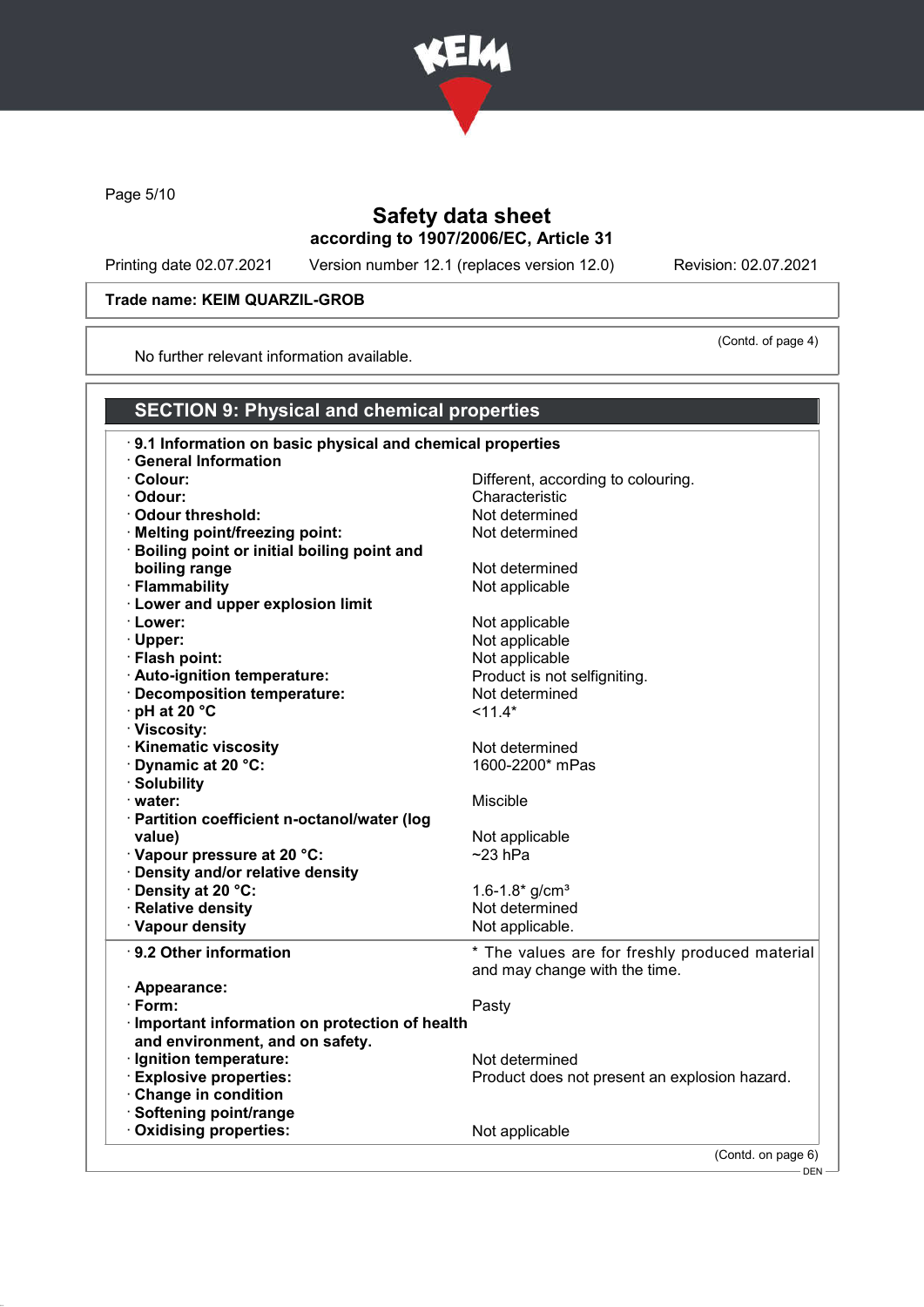

Page 5/10

### Safety data sheet according to 1907/2006/EC, Article 31

Printing date 02.07.2021 Version number 12.1 (replaces version 12.0) Revision: 02.07.2021

(Contd. of page 4)

#### Trade name: KEIM QUARZIL-GROB

No further relevant information available.

#### SECTION 9: Physical and chemical properties · 9.1 Information on basic physical and chemical properties · General Information · Colour: Different, according to colouring. · Odour: Characteristic · Odour threshold: Not determined · Melting point/freezing point: Not determined · Boiling point or initial boiling point and boiling range Not determined · Flammability **Not** applicable · Lower and upper explosion limit • Lower: Not applicable · Upper: Not applicable · Flash point:<br> **Auto-ignition temperature:** Not applicable by Not applicable 1990.  $\cdot$  Auto-ignition temperature: · Decomposition temperature:  $\mathbf{D} = \mathbf{D} + \mathbf{D}$  Not determined<br>  $\mathbf{D} = \mathbf{D} + \mathbf{D}$  at 20 °C  $\cdot$  pH at 20  $\degree$ C · Viscosity: • **Kinematic viscosity**<br>• **Dynamic at 20 °C:** Not determined<br>• **Dynamic at 20 °C:** Not determined  $\cdot$  Dynamic at 20  $\degree$ C: · Solubility · water: Miscible · Partition coefficient n-octanol/water (log value) value value value value value value value value value value value value value value value value value v · Vapour pressure at 20 °C: ~23 hPa · Density and/or relative density <sup>2</sup> Density at 20 °C:<br> **1.6-1.8\*** g/cm<sup>3</sup><br>
Relative density **Relative**  $\cdot$  Relative density  $\cdot$  Vapour density  $\cdot$  Not applicable. · 9.2 Other information \* The values are for freshly produced material and may change with the time. · Appearance: · Form: Pasty · Important information on protection of health and environment, and on safety. • **Ignition temperature:** Not determined<br>
• Explosive properties: Not determined<br>
Froduct does not Product does not present an explosion hazard. · Change in condition · Softening point/range · Oxidising properties: Not applicable (Contd. on page 6)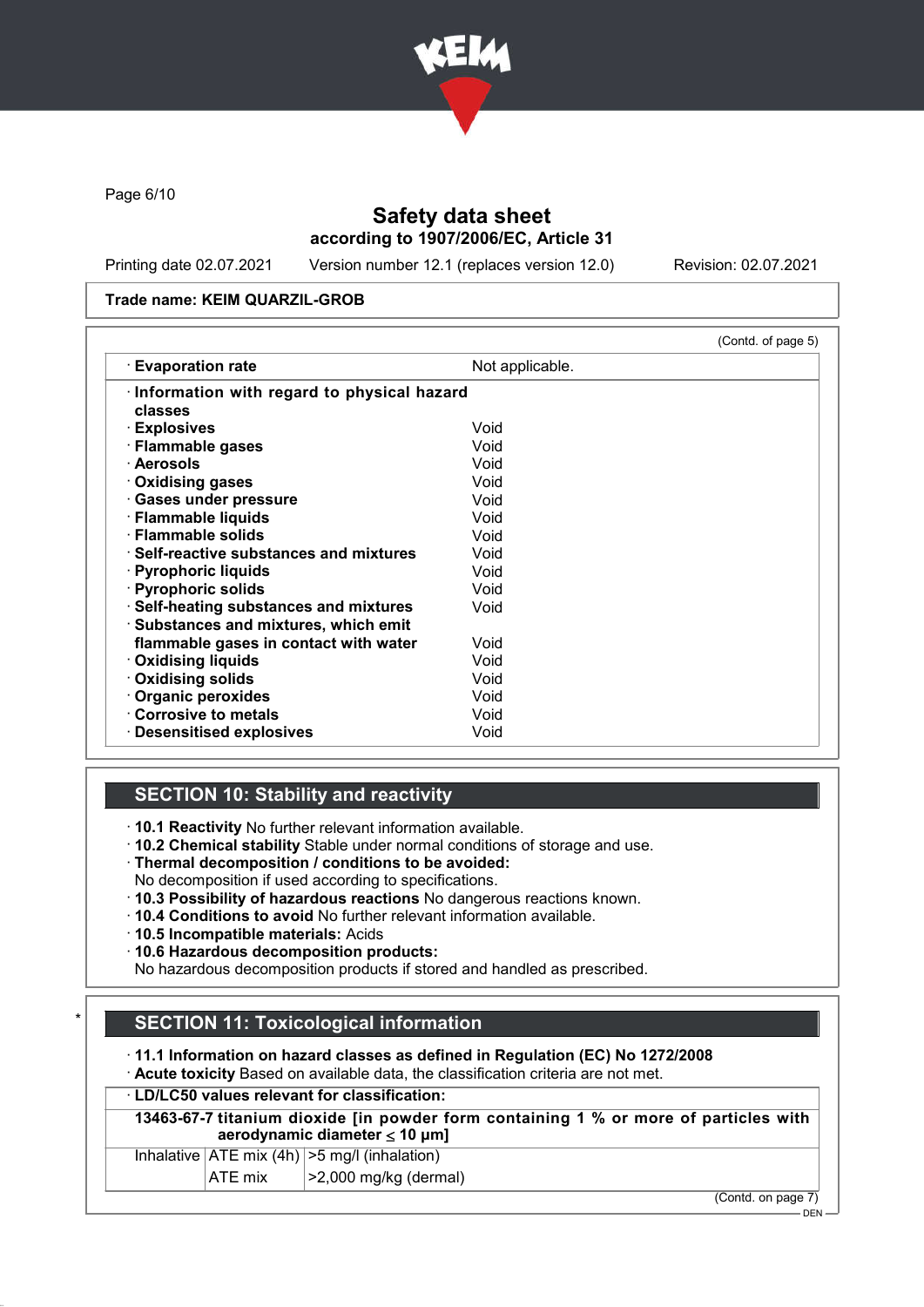

Page 6/10

# Safety data sheet according to 1907/2006/EC, Article 31

Printing date 02.07.2021 Version number 12.1 (replaces version 12.0) Revision: 02.07.2021

#### Trade name: KEIM QUARZIL-GROB

| $\cdot$ Evaporation rate                       | Not applicable. |  |
|------------------------------------------------|-----------------|--|
| Information with regard to physical hazard     |                 |  |
| classes                                        |                 |  |
| · Explosives                                   | Void            |  |
| · Flammable gases                              | Void            |  |
| · Aerosols                                     | Void            |  |
| $\cdot$ Oxidising gases                        | Void            |  |
| · Gases under pressure                         | Void            |  |
| · Flammable liquids                            | Void            |  |
| · Flammable solids                             | Void            |  |
| $\cdot$ Self-reactive substances and mixtures. | Void            |  |
| · Pyrophoric liquids                           | Void            |  |
| · Pyrophoric solids                            | Void            |  |
| · Self-heating substances and mixtures         | Void            |  |
| · Substances and mixtures, which emit          |                 |  |
| flammable gases in contact with water          | Void            |  |
| <b>Oxidising liquids</b>                       | Void            |  |
| Oxidising solids                               | Void            |  |
| Organic peroxides                              | Void            |  |
| Corrosive to metals                            | Void            |  |
| $\cdot$ Desensitised explosives                | Void            |  |

### SECTION 10: Stability and reactivity

· 10.1 Reactivity No further relevant information available.

- · 10.2 Chemical stability Stable under normal conditions of storage and use.
- · Thermal decomposition / conditions to be avoided:
- No decomposition if used according to specifications.
- · 10.3 Possibility of hazardous reactions No dangerous reactions known.
- · 10.4 Conditions to avoid No further relevant information available.
- · 10.5 Incompatible materials: Acids

· 10.6 Hazardous decomposition products:

No hazardous decomposition products if stored and handled as prescribed.

# **SECTION 11: Toxicological information**

· 11.1 Information on hazard classes as defined in Regulation (EC) No 1272/2008

· Acute toxicity Based on available data, the classification criteria are not met.

#### · LD/LC50 values relevant for classification:

13463-67-7 titanium dioxide [in powder form containing 1 % or more of particles with aerodynamic diameter ≤ 10 μm]

| $\mathbf{A}$ $\mathbf{F}$ $\mathbf{F}$ $\mathbf{F}$ $\mathbf{F}$ $\mathbf{F}$ | $\mathsf{L} \cdot \mathsf{A} \cdot \mathsf{A} \cdot \mathsf{A} \cdot \mathsf{A} \cdot \mathsf{A} \cdot \mathsf{A} \cdot \mathsf{A} \cdot \mathsf{A} \cdot \mathsf{A} \cdot \mathsf{A} \cdot \mathsf{A} \cdot \mathsf{A} \cdot \mathsf{A} \cdot \mathsf{A} \cdot \mathsf{A} \cdot \mathsf{A} \cdot \mathsf{A} \cdot \mathsf{A} \cdot \mathsf{A} \cdot \mathsf{A} \cdot \mathsf{A} \cdot \mathsf{A} \cdot \mathsf{A} \cdot \mathsf{A} \cdot \mathsf{A} \cdot \mathsf{A} \cdot \mathsf{$ |
|-------------------------------------------------------------------------------|---------------------------------------------------------------------------------------------------------------------------------------------------------------------------------------------------------------------------------------------------------------------------------------------------------------------------------------------------------------------------------------------------------------------------------------------------------------------------------------|
| Inhalative $ ATE \text{ mix } (4h)   > 5 \text{ mg/l } (inhalation)$          |                                                                                                                                                                                                                                                                                                                                                                                                                                                                                       |

 $|ATE \text{ mix}$   $| > 2,000 \text{ mg/kg}$  (dermal)

(Contd. on page 7)

 $-$  DEN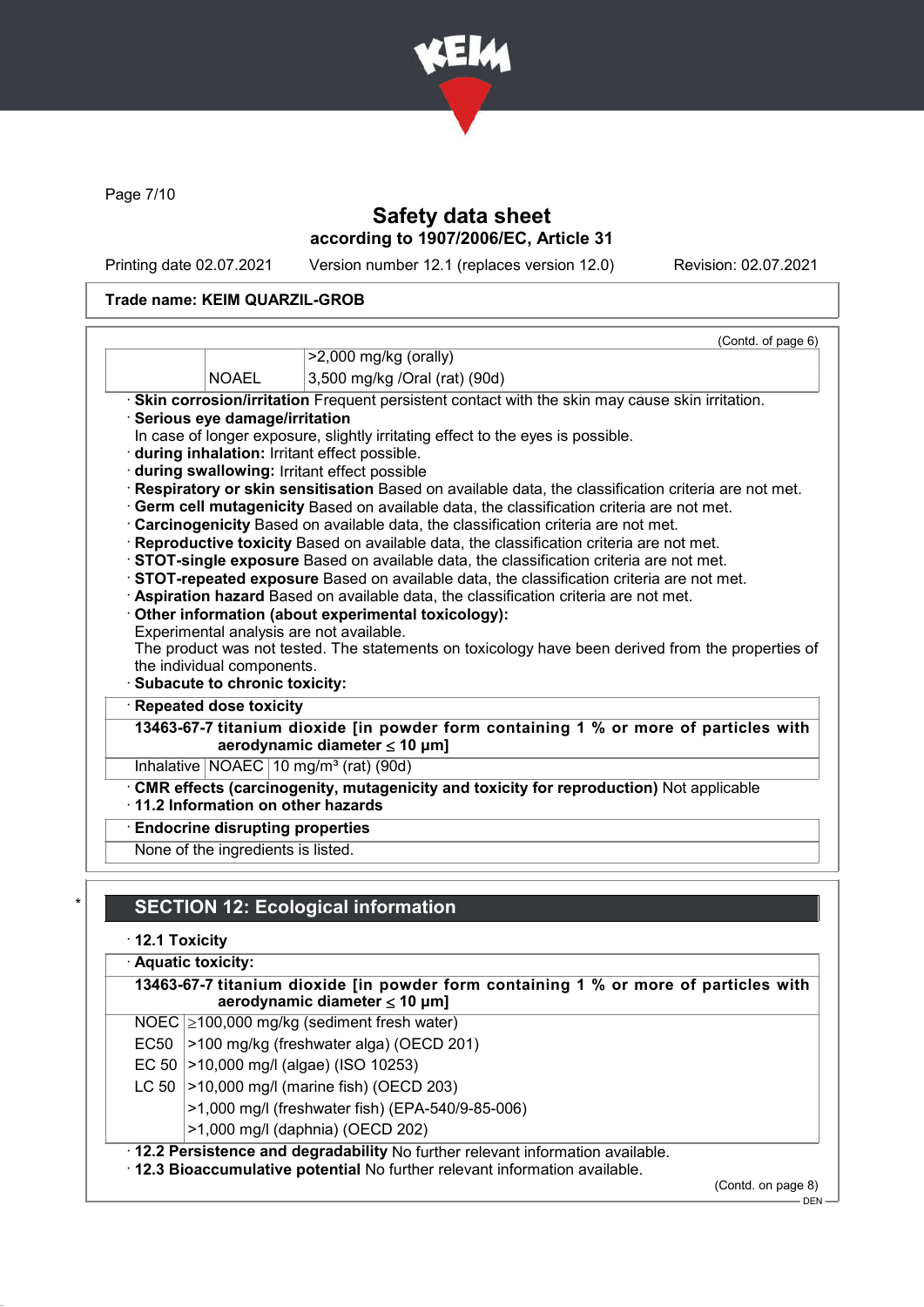

Page 7/10

# Safety data sheet according to 1907/2006/EC, Article 31

Printing date 02.07.2021 Version number 12.1 (replaces version 12.0) Revision: 02.07.2021

### Trade name: KEIM QUARZIL-GROB

|                                        | (Contd. of page 6)                                                                                                                            |
|----------------------------------------|-----------------------------------------------------------------------------------------------------------------------------------------------|
|                                        | $>2,000$ mg/kg (orally)                                                                                                                       |
| <b>NOAEL</b>                           | 3,500 mg/kg /Oral (rat) (90d)                                                                                                                 |
|                                        | · Skin corrosion/irritation Frequent persistent contact with the skin may cause skin irritation.                                              |
| · Serious eye damage/irritation        |                                                                                                                                               |
|                                        | In case of longer exposure, slightly irritating effect to the eyes is possible.                                                               |
|                                        | · during inhalation: Irritant effect possible.                                                                                                |
|                                        | during swallowing: Irritant effect possible                                                                                                   |
|                                        | Respiratory or skin sensitisation Based on available data, the classification criteria are not met.                                           |
|                                        | · Germ cell mutagenicity Based on available data, the classification criteria are not met.                                                    |
|                                        | · Carcinogenicity Based on available data, the classification criteria are not met.                                                           |
|                                        |                                                                                                                                               |
|                                        | · Reproductive toxicity Based on available data, the classification criteria are not met.                                                     |
|                                        | · <b>STOT-single exposure</b> Based on available data, the classification criteria are not met.                                               |
|                                        | STOT-repeated exposure Based on available data, the classification criteria are not met.                                                      |
|                                        | · Aspiration hazard Based on available data, the classification criteria are not met.                                                         |
|                                        | Other information (about experimental toxicology):<br>Experimental analysis are not available.                                                |
|                                        |                                                                                                                                               |
| the individual components.             |                                                                                                                                               |
| · Subacute to chronic toxicity:        | The product was not tested. The statements on toxicology have been derived from the properties of                                             |
| Repeated dose toxicity                 |                                                                                                                                               |
|                                        | aerodynamic diameter $\leq 10$ µm]                                                                                                            |
|                                        | 13463-67-7 titanium dioxide [in powder form containing 1 % or more of particles with<br>Inhalative   NOAEC   10 mg/m <sup>3</sup> (rat) (90d) |
|                                        | · CMR effects (carcinogenity, mutagenicity and toxicity for reproduction) Not applicable<br>$\cdot$ 11.2 Information on other hazards         |
| <b>Endocrine disrupting properties</b> |                                                                                                                                               |

# **SECTION 12: Ecological information**

· 12.1 Toxicity

|           | · Aquatic toxicity:<br>13463-67-7 titanium dioxide [in powder form containing 1 % or more of particles with<br>aerodynamic diameter $\leq 10$ µm]              |  |  |
|-----------|----------------------------------------------------------------------------------------------------------------------------------------------------------------|--|--|
|           |                                                                                                                                                                |  |  |
|           | NOEC $\geq$ 100,000 mg/kg (sediment fresh water)                                                                                                               |  |  |
| EC50      | >100 mg/kg (freshwater alga) (OECD 201)                                                                                                                        |  |  |
| EC 50 $ $ | >10,000 mg/l (algae) (ISO 10253)                                                                                                                               |  |  |
| LC 50     | $\vert$ >10,000 mg/l (marine fish) (OECD 203)                                                                                                                  |  |  |
|           | >1,000 mg/l (freshwater fish) (EPA-540/9-85-006)                                                                                                               |  |  |
|           | >1,000 mg/l (daphnia) (OECD 202)                                                                                                                               |  |  |
|           | · 12.2 Persistence and degradability No further relevant information available.<br>. 12.3 Bioaccumulative potential No further relevant information available. |  |  |

(Contd. on page 8)

 $-$  DEN -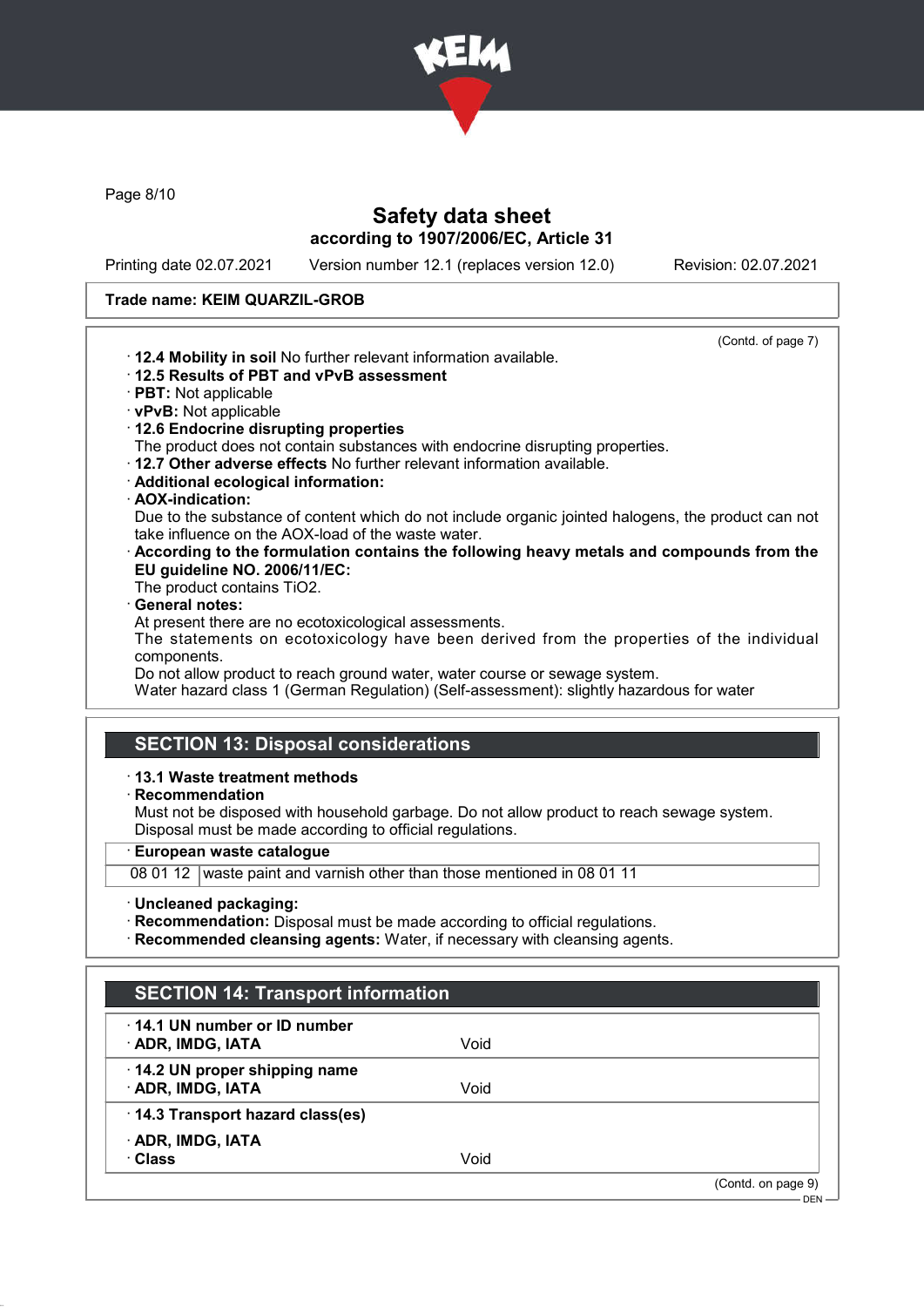

Page 8/10

# Safety data sheet according to 1907/2006/EC, Article 31

Printing date 02.07.2021 Version number 12.1 (replaces version 12.0) Revision: 02.07.2021

#### Trade name: KEIM QUARZIL-GROB

| (Contd. of page 7)                                                                                     |
|--------------------------------------------------------------------------------------------------------|
| . 12.4 Mobility in soil No further relevant information available.                                     |
| 12.5 Results of PBT and vPvB assessment                                                                |
| · PBT: Not applicable                                                                                  |
| · vPvB: Not applicable                                                                                 |
| 12.6 Endocrine disrupting properties                                                                   |
| The product does not contain substances with endocrine disrupting properties.                          |
| $\cdot$ 12.7 Other adverse effects No further relevant information available.                          |
| · Additional ecological information:                                                                   |
| · AOX-indication:                                                                                      |
| Due to the substance of content which do not include organic jointed halogens, the product can not     |
| take influence on the AOX-load of the waste water.                                                     |
| $\cdot$ According to the formulation contains the following heavy metals and compounds from the        |
| EU guideline NO. 2006/11/EC:                                                                           |
| The product contains TiO2.                                                                             |
| · General notes:                                                                                       |
| At present there are no ecotoxicological assessments.                                                  |
| The statements on ecotoxicology have been derived from the properties of the individual<br>components. |
| Do not allow product to reach ground water, water course or sewage system.                             |
| Water hazard class 1 (German Regulation) (Self-assessment): slightly hazardous for water               |
|                                                                                                        |
|                                                                                                        |
| <b>SECTION 13: Disposal considerations</b>                                                             |
| $\cdot$ 13.1 Waste treatment methods                                                                   |
| $\cdot$ Recommendation                                                                                 |
| Must not be disposed with household garbage. Do not allow product to reach sewage system.              |

Disposal must be made according to official regulations.

· European waste catalogue

08 01 12 waste paint and varnish other than those mentioned in 08 01 11

· Uncleaned packaging:

Г

- · Recommendation: Disposal must be made according to official regulations.
- · Recommended cleansing agents: Water, if necessary with cleansing agents.

| <b>SECTION 14: Transport information</b>                 |      |                    |
|----------------------------------------------------------|------|--------------------|
| $\cdot$ 14.1 UN number or ID number<br>· ADR, IMDG, IATA | Void |                    |
| 14.2 UN proper shipping name<br>· ADR, IMDG, IATA        | Void |                    |
| · 14.3 Transport hazard class(es)                        |      |                    |
| · ADR, IMDG, IATA<br>· Class                             | Void |                    |
|                                                          |      | (Contd. on page 9) |
|                                                          |      | $DEN -$            |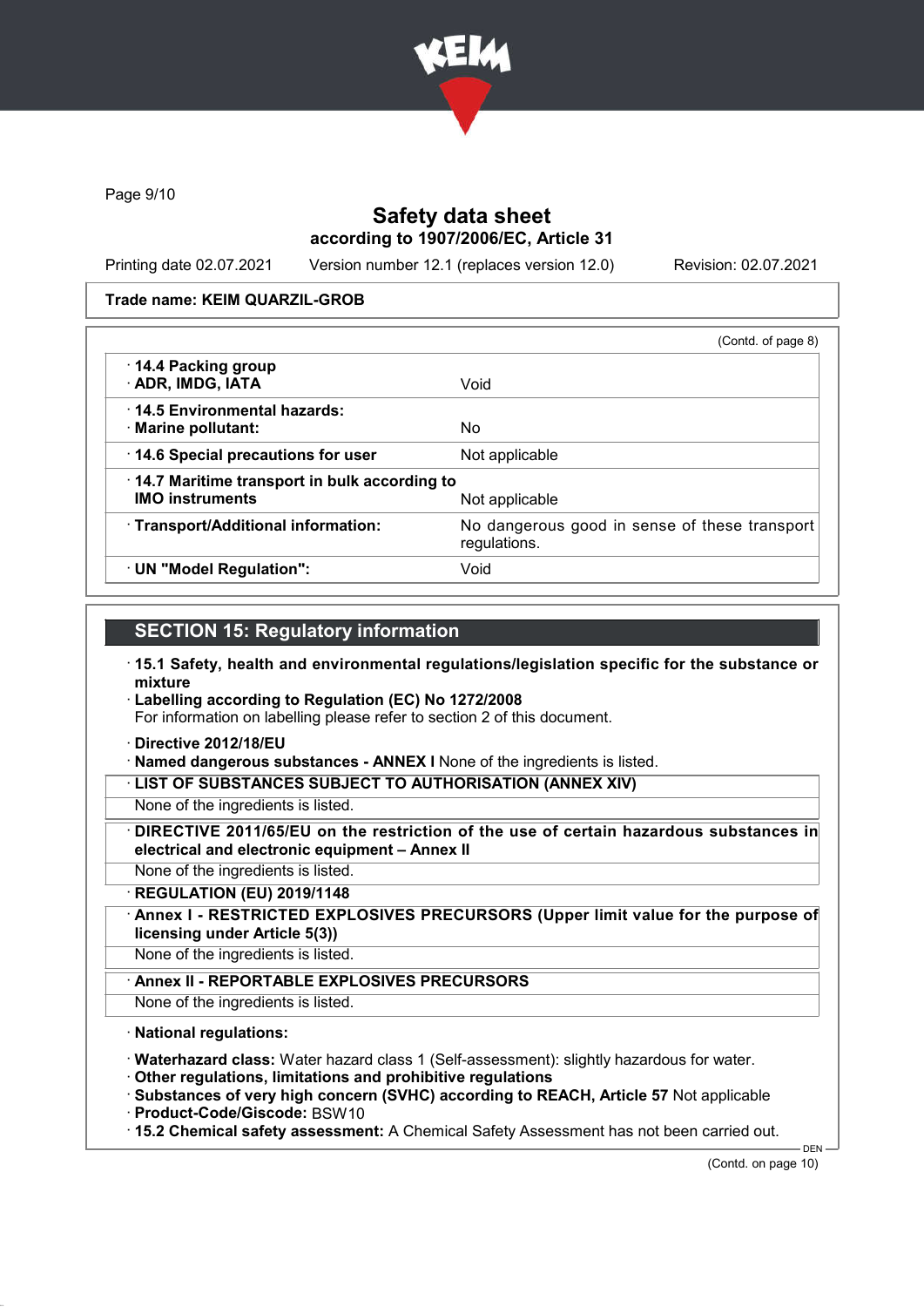

Page 9/10

### Safety data sheet according to 1907/2006/EC, Article 31

Printing date 02.07.2021 Version number 12.1 (replaces version 12.0) Revision: 02.07.2021

#### Trade name: KEIM QUARZIL-GROB

|                                                                        | (Contd. of page 8)                                            |
|------------------------------------------------------------------------|---------------------------------------------------------------|
| 14.4 Packing group<br>· ADR, IMDG, IATA                                | Void                                                          |
| 14.5 Environmental hazards:<br>· Marine pollutant:                     | No                                                            |
| 14.6 Special precautions for user                                      | Not applicable                                                |
| 14.7 Maritime transport in bulk according to<br><b>IMO instruments</b> | Not applicable                                                |
| · Transport/Additional information:                                    | No dangerous good in sense of these transport<br>regulations. |
| · UN "Model Regulation":                                               | Void                                                          |

### SECTION 15: Regulatory information

- · 15.1 Safety, health and environmental regulations/legislation specific for the substance or mixture
- · Labelling according to Regulation (EC) No 1272/2008

For information on labelling please refer to section 2 of this document.

- · Directive 2012/18/EU
- · Named dangerous substances ANNEX I None of the ingredients is listed.

· LIST OF SUBSTANCES SUBJECT TO AUTHORISATION (ANNEX XIV)

- None of the ingredients is listed.
- DIRECTIVE 2011/65/EU on the restriction of the use of certain hazardous substances in electrical and electronic equipment – Annex II
- None of the ingredients is listed.
- · REGULATION (EU) 2019/1148
- Annex I RESTRICTED EXPLOSIVES PRECURSORS (Upper limit value for the purpose of licensing under Article 5(3))
- None of the ingredients is listed.
	- Annex II REPORTABLE EXPLOSIVES PRECURSORS
- None of the ingredients is listed.

#### · National regulations:

- · Waterhazard class: Water hazard class 1 (Self-assessment): slightly hazardous for water.
- · Other regulations, limitations and prohibitive regulations
- · Substances of very high concern (SVHC) according to REACH, Article 57 Not applicable
- · Product-Code/Giscode: BSW10
- · 15.2 Chemical safety assessment: A Chemical Safety Assessment has not been carried out.

DEN